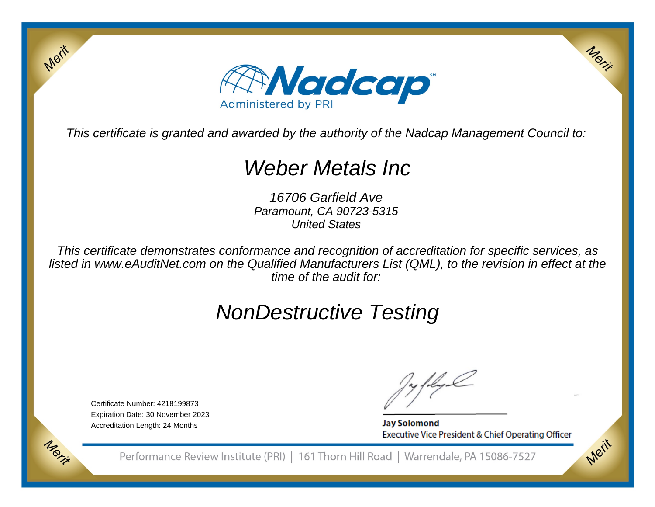

This certificate is granted and awarded by the authority of the Nadcap Management Council to:

# Weber Metals Inc

16706 Garfield Ave Paramount, CA 90723-5315United States

This certificate demonstrates conformance and recognition of accreditation for specific services, as listed in www.eAuditNet.com on the Qualified Manufacturers List (QML), to the revision in effect at thetime of the audit for:

# NonDestructive Testing

Certificate Number: 4218199873 Expiration Date: 30 November 2023Accreditation Length: 24 Months

Merit

Morie

**Jay Solomond** Executive Vice President & Chief Operating Officer Merix

Merit

Performance Review Institute (PRI) | 161 Thorn Hill Road | Warrendale, PA 15086-7527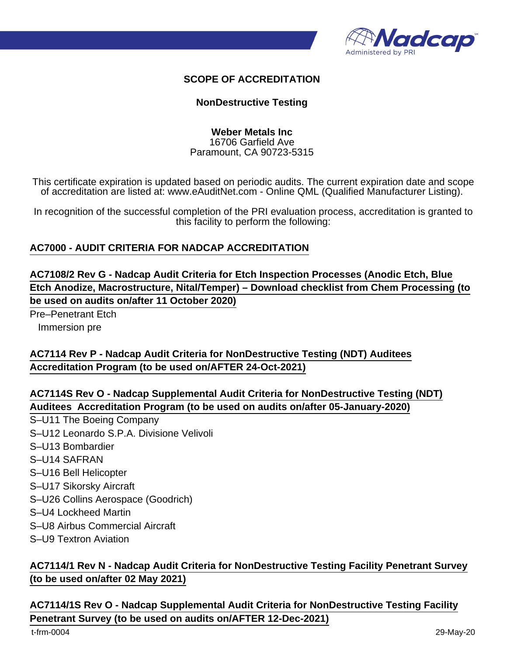

### **SCOPE OF ACCREDITATION**

### **NonDestructive Testing**

#### **Weber Metals Inc** 16706 Garfield Ave Paramount, CA 90723-5315

This certificate expiration is updated based on periodic audits. The current expiration date and scope of accreditation are listed at: www.eAuditNet.com - Online QML (Qualified Manufacturer Listing).

In recognition of the successful completion of the PRI evaluation process, accreditation is granted to this facility to perform the following:

## **AC7000 - AUDIT CRITERIA FOR NADCAP ACCREDITATION**

**AC7108/2 Rev G - Nadcap Audit Criteria for Etch Inspection Processes (Anodic Etch, Blue Etch Anodize, Macrostructure, Nital/Temper) – Download checklist from Chem Processing (to be used on audits on/after 11 October 2020)**

Pre–Penetrant Etch Immersion pre

**AC7114 Rev P - Nadcap Audit Criteria for NonDestructive Testing (NDT) Auditees Accreditation Program (to be used on/AFTER 24-Oct-2021)**

**AC7114S Rev O - Nadcap Supplemental Audit Criteria for NonDestructive Testing (NDT) Auditees Accreditation Program (to be used on audits on/after 05-January-2020)**

- S–U11 The Boeing Company
- S–U12 Leonardo S.P.A. Divisione Velivoli
- S–U13 Bombardier
- S–U14 SAFRAN
- S–U16 Bell Helicopter
- S–U17 Sikorsky Aircraft
- S–U26 Collins Aerospace (Goodrich)
- S–U4 Lockheed Martin
- S–U8 Airbus Commercial Aircraft
- S–U9 Textron Aviation

# **AC7114/1 Rev N - Nadcap Audit Criteria for NonDestructive Testing Facility Penetrant Survey (to be used on/after 02 May 2021)**

**AC7114/1S Rev O - Nadcap Supplemental Audit Criteria for NonDestructive Testing Facility Penetrant Survey (to be used on audits on/AFTER 12-Dec-2021)**